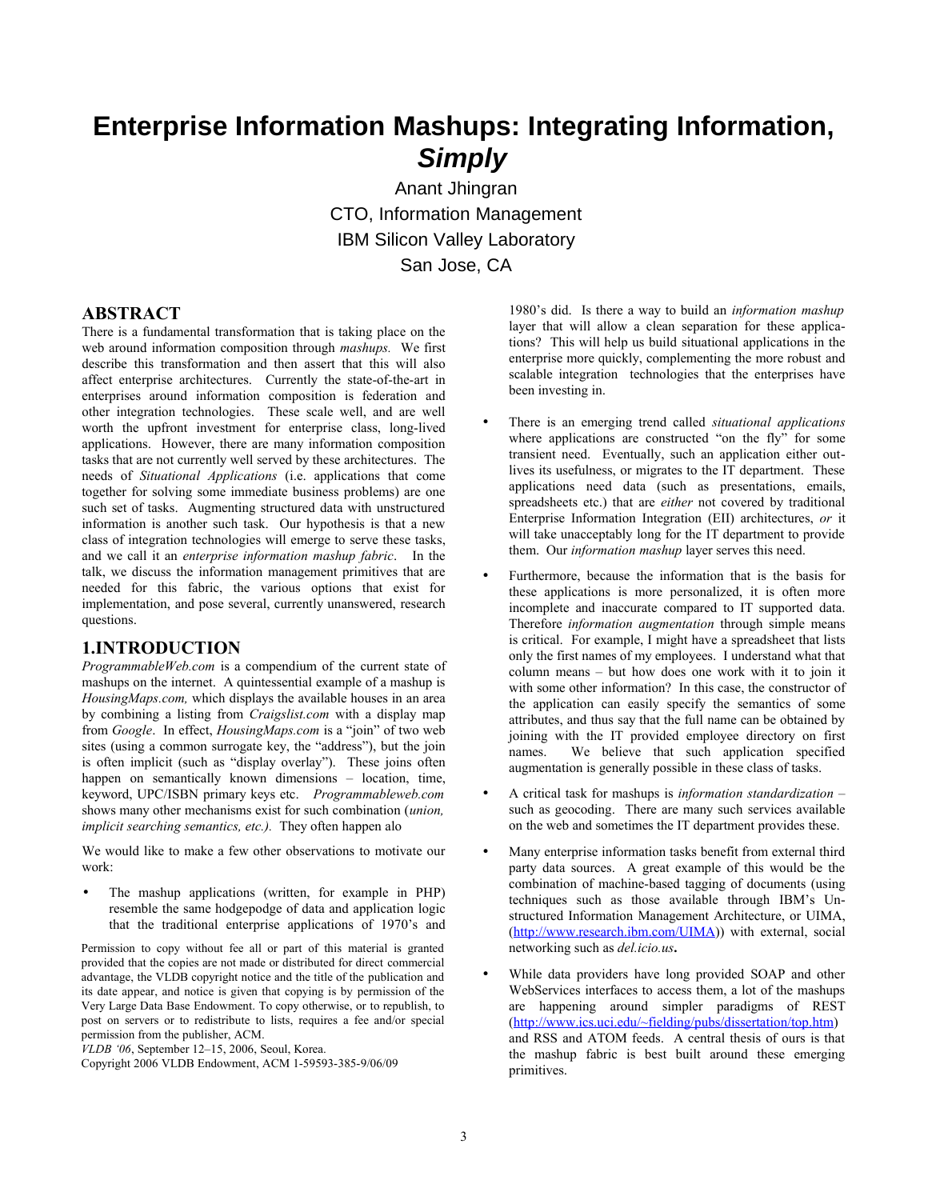# **Enterprise Information Mashups: Integrating Information, Simply**

Anant Jhingran CTO, Information Management IBM Silicon Valley Laboratory San Jose, CA

#### **ABSTRACT**

There is a fundamental transformation that is taking place on the web around information composition through *mashups.* We first describe this transformation and then assert that this will also affect enterprise architectures. Currently the state-of-the-art in enterprises around information composition is federation and other integration technologies. These scale well, and are well worth the upfront investment for enterprise class, long-lived applications. However, there are many information composition tasks that are not currently well served by these architectures. The needs of *Situational Applications* (i.e. applications that come together for solving some immediate business problems) are one such set of tasks. Augmenting structured data with unstructured information is another such task. Our hypothesis is that a new class of integration technologies will emerge to serve these tasks, and we call it an *enterprise information mashup fabric*. In the talk, we discuss the information management primitives that are needed for this fabric, the various options that exist for implementation, and pose several, currently unanswered, research questions.

#### **1.INTRODUCTION**

*ProgrammableWeb.com* is a compendium of the current state of mashups on the internet. A quintessential example of a mashup is *HousingMaps.com,* which displays the available houses in an area by combining a listing from *Craigslist.com* with a display map from *Google*. In effect, *HousingMaps.com* is a "join" of two web sites (using a common surrogate key, the "address"), but the join is often implicit (such as "display overlay"). These joins often happen on semantically known dimensions – location, time, keyword, UPC/ISBN primary keys etc. *Programmableweb.com* shows many other mechanisms exist for such combination (*union, implicit searching semantics, etc.).* They often happen alo

We would like to make a few other observations to motivate our work:

The mashup applications (written, for example in PHP) resemble the same hodgepodge of data and application logic that the traditional enterprise applications of 1970's and

Permission to copy without fee all or part of this material is granted provided that the copies are not made or distributed for direct commercial advantage, the VLDB copyright notice and the title of the publication and its date appear, and notice is given that copying is by permission of the Very Large Data Base Endowment. To copy otherwise, or to republish, to post on servers or to redistribute to lists, requires a fee and/or special permission from the publisher, ACM.

*VLDB '06*, September 12–15, 2006, Seoul, Korea.

Copyright 2006 VLDB Endowment, ACM 1-59593-385-9/06/09

1980's did. Is there a way to build an *information mashup* layer that will allow a clean separation for these applications? This will help us build situational applications in the enterprise more quickly, complementing the more robust and scalable integration technologies that the enterprises have been investing in.

- There is an emerging trend called *situational applications* where applications are constructed "on the fly" for some transient need. Eventually, such an application either outlives its usefulness, or migrates to the IT department. These applications need data (such as presentations, emails, spreadsheets etc.) that are *either* not covered by traditional Enterprise Information Integration (EII) architectures, *or* it will take unacceptably long for the IT department to provide them. Our *information mashup* layer serves this need.
- Furthermore, because the information that is the basis for these applications is more personalized, it is often more incomplete and inaccurate compared to IT supported data. Therefore *information augmentation* through simple means is critical. For example, I might have a spreadsheet that lists only the first names of my employees. I understand what that column means – but how does one work with it to join it with some other information? In this case, the constructor of the application can easily specify the semantics of some attributes, and thus say that the full name can be obtained by joining with the IT provided employee directory on first names. We believe that such application specified augmentation is generally possible in these class of tasks.
- A critical task for mashups is *information standardization* such as geocoding. There are many such services available on the web and sometimes the IT department provides these.
- Many enterprise information tasks benefit from external third party data sources. A great example of this would be the combination of machine-based tagging of documents (using techniques such as those available through IBM's Unstructured Information Management Architecture, or UIMA, (<http://www.research.ibm.com/UIMA>)) with external, social networking such as *del.icio.us***.**
- While data providers have long provided SOAP and other WebServices interfaces to access them, a lot of the mashups are happening around simpler paradigms of REST (<http://www.ics.uci.edu/~fielding/pubs/dissertation/top.htm>) and RSS and ATOM feeds. A central thesis of ours is that the mashup fabric is best built around these emerging primitives.